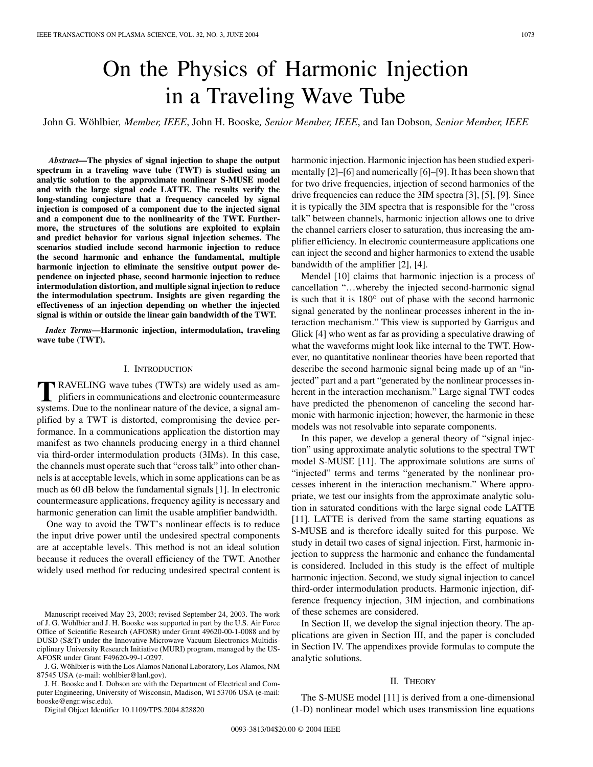# On the Physics of Harmonic Injection in a Traveling Wave Tube

John G. Wöhlbier*, Member, IEEE*, John H. Booske*, Senior Member, IEEE*, and Ian Dobson*, Senior Member, IEEE*

*Abstract—***The physics of signal injection to shape the output spectrum in a traveling wave tube (TWT) is studied using an analytic solution to the approximate nonlinear S-MUSE model and with the large signal code LATTE. The results verify the long-standing conjecture that a frequency canceled by signal injection is composed of a component due to the injected signal and a component due to the nonlinearity of the TWT. Furthermore, the structures of the solutions are exploited to explain and predict behavior for various signal injection schemes. The scenarios studied include second harmonic injection to reduce the second harmonic and enhance the fundamental, multiple harmonic injection to eliminate the sensitive output power dependence on injected phase, second harmonic injection to reduce intermodulation distortion, and multiple signal injection to reduce the intermodulation spectrum. Insights are given regarding the effectiveness of an injection depending on whether the injected signal is within or outside the linear gain bandwidth of the TWT.**

*Index Terms—***Harmonic injection, intermodulation, traveling wave tube (TWT).**

#### I. INTRODUCTION

**TRAVELING** wave tubes (TWTs) are widely used as amplifiers in communications and electronic countermeasure systems. Due to the nonlinear nature of the device, a signal amplified by a TWT is distorted, compromising the device performance. In a communications application the distortion may manifest as two channels producing energy in a third channel via third-order intermodulation products (3IMs). In this case, the channels must operate such that "cross talk" into other channels is at acceptable levels, which in some applications can be as much as 60 dB below the fundamental signals [\[1](#page-11-0)]. In electronic countermeasure applications, frequency agility is necessary and harmonic generation can limit the usable amplifier bandwidth.

One way to avoid the TWT's nonlinear effects is to reduce the input drive power until the undesired spectral components are at acceptable levels. This method is not an ideal solution because it reduces the overall efficiency of the TWT. Another widely used method for reducing undesired spectral content is

J. G. Wöhlbier is with the Los Alamos National Laboratory, Los Alamos, NM 87545 USA (e-mail: wohlbier@lanl.gov).

J. H. Booske and I. Dobson are with the Department of Electrical and Computer Engineering, University of Wisconsin, Madison, WI 53706 USA (e-mail: booske@engr.wisc.edu).

Digital Object Identifier 10.1109/TPS.2004.828820

harmonic injection. Harmonic injection has been studied experimentally [\[2](#page-11-0)]–[[6\]](#page-12-0) and numerically [[6\]](#page-12-0)–[\[9](#page-12-0)]. It has been shown that for two drive frequencies, injection of second harmonics of the drive frequencies can reduce the 3IM spectra [\[3](#page-11-0)], [[5\]](#page-12-0), [[9\]](#page-12-0). Since it is typically the 3IM spectra that is responsible for the "cross talk" between channels, harmonic injection allows one to drive the channel carriers closer to saturation, thus increasing the amplifier efficiency. In electronic countermeasure applications one can inject the second and higher harmonics to extend the usable bandwidth of the amplifier [\[2](#page-11-0)], [\[4](#page-12-0)].

Mendel [\[10](#page-12-0)] claims that harmonic injection is a process of cancellation "…whereby the injected second-harmonic signal is such that it is  $180^{\circ}$  out of phase with the second harmonic signal generated by the nonlinear processes inherent in the interaction mechanism." This view is supported by Garrigus and Glick [[4\]](#page-12-0) who went as far as providing a speculative drawing of what the waveforms might look like internal to the TWT. However, no quantitative nonlinear theories have been reported that describe the second harmonic signal being made up of an "injected" part and a part "generated by the nonlinear processes inherent in the interaction mechanism." Large signal TWT codes have predicted the phenomenon of canceling the second harmonic with harmonic injection; however, the harmonic in these models was not resolvable into separate components.

In this paper, we develop a general theory of "signal injection" using approximate analytic solutions to the spectral TWT model S-MUSE [[11\]](#page-12-0). The approximate solutions are sums of "injected" terms and terms "generated by the nonlinear processes inherent in the interaction mechanism." Where appropriate, we test our insights from the approximate analytic solution in saturated conditions with the large signal code LATTE [\[11](#page-12-0)]. LATTE is derived from the same starting equations as S-MUSE and is therefore ideally suited for this purpose. We study in detail two cases of signal injection. First, harmonic injection to suppress the harmonic and enhance the fundamental is considered. Included in this study is the effect of multiple harmonic injection. Second, we study signal injection to cancel third-order intermodulation products. Harmonic injection, difference frequency injection, 3IM injection, and combinations of these schemes are considered.

In Section II, we develop the signal injection theory. The applications are given in Section III, and the paper is concluded in Section IV. The appendixes provide formulas to compute the analytic solutions.

## II. THEORY

The S-MUSE model [\[11](#page-12-0)] is derived from a one-dimensional (1-D) nonlinear model which uses transmission line equations

Manuscript received May 23, 2003; revised September 24, 2003. The work of J. G. Wöhlbier and J. H. Booske was supported in part by the U.S. Air Force Office of Scientific Research (AFOSR) under Grant 49620-00-1-0088 and by DUSD (S&T) under the Innovative Microwave Vacuum Electronics Multidisciplinary University Research Initiative (MURI) program, managed by the US-AFOSR under Grant F49620-99-1-0297.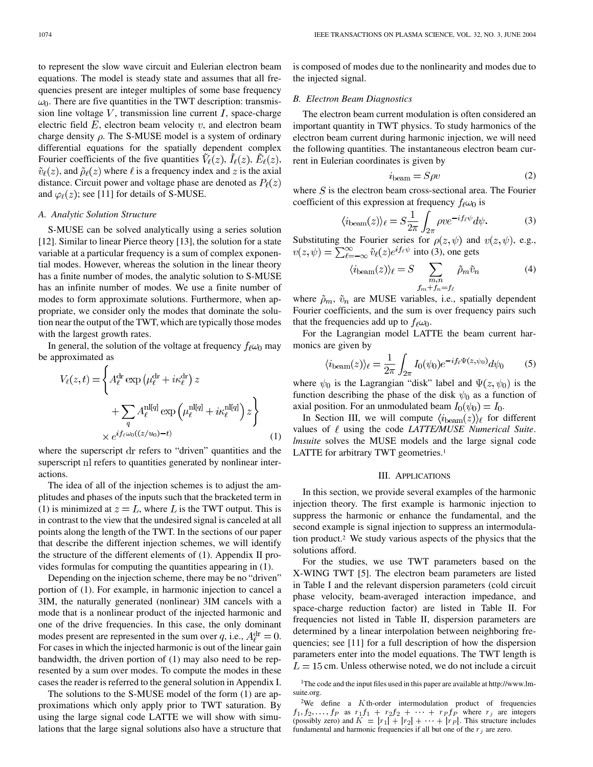to represent the slow wave circuit and Eulerian electron beam equations. The model is steady state and assumes that all frequencies present are integer multiples of some base frequency  $\omega_0$ . There are five quantities in the TWT description: transmission line voltage  $V$ , transmission line current  $I$ , space-charge electric field  $E$ , electron beam velocity  $v$ , and electron beam charge density  $\rho$ . The S-MUSE model is a system of ordinary differential equations for the spatially dependent complex Fourier coefficients of the five quantities  $\tilde{V}_{\ell}(z)$ ,  $\tilde{I}_{\ell}(z)$ ,  $\tilde{E}_{\ell}(z)$ ,  $\tilde{v}_{\ell}(z)$ , and  $\tilde{\rho}_{\ell}(z)$  where  $\ell$  is a frequency index and z is the axial distance. Circuit power and voltage phase are denoted as  $P_{\ell}(z)$ and  $\varphi_{\ell}(z)$ ; see [\[11](#page-12-0)] for details of S-MUSE.

# *A. Analytic Solution Structure*

S-MUSE can be solved analytically using a series solution [[12\]](#page-12-0). Similar to linear Pierce theory [\[13](#page-12-0)], the solution for a state variable at a particular frequency is a sum of complex exponential modes. However, whereas the solution in the linear theory has a finite number of modes, the analytic solution to S-MUSE has an infinite number of modes. We use a finite number of modes to form approximate solutions. Furthermore, when appropriate, we consider only the modes that dominate the solution near the output of the TWT, which are typically those modes with the largest growth rates.

In general, the solution of the voltage at frequency  $f_{\ell}\omega_0$  may be approximated as

$$
V_{\ell}(z,t) = \left\{ A_{\ell}^{\mathrm{dr}} \exp \left( \mu_{\ell}^{\mathrm{dr}} + i \kappa_{\ell}^{\mathrm{dr}} \right) z + \sum_{q} A_{\ell}^{\mathrm{nl}[q]} \exp \left( \mu_{\ell}^{\mathrm{nl}[q]} + i \kappa_{\ell}^{\mathrm{nl}[q]} \right) z \right\}
$$

$$
\times e^{i f_{\ell} \omega_0 ((z/u_0) - t)}
$$
(1)

where the superscript dr refers to "driven" quantities and the superscript nl refers to quantities generated by nonlinear interactions.

The idea of all of the injection schemes is to adjust the amplitudes and phases of the inputs such that the bracketed term in (1) is minimized at  $z = L$ , where L is the TWT output. This is in contrast to the view that the undesired signal is canceled at all points along the length of the TWT. In the sections of our paper that describe the different injection schemes, we will identify the structure of the different elements of (1). Appendix II provides formulas for computing the quantities appearing in (1).

Depending on the injection scheme, there may be no "driven" portion of (1). For example, in harmonic injection to cancel a 3IM, the naturally generated (nonlinear) 3IM cancels with a mode that is a nonlinear product of the injected harmonic and one of the drive frequencies. In this case, the only dominant modes present are represented in the sum over q, i.e.,  $A_{\ell}^{\text{dr}} = 0$ . For cases in which the injected harmonic is out of the linear gain bandwidth, the driven portion of (1) may also need to be represented by a sum over modes. To compute the modes in these cases the reader is referred to the general solution in Appendix I.

The solutions to the S-MUSE model of the form (1) are approximations which only apply prior to TWT saturation. By using the large signal code LATTE we will show with simulations that the large signal solutions also have a structure that is composed of modes due to the nonlinearity and modes due to the injected signal.

#### *B. Electron Beam Diagnostics*

The electron beam current modulation is often considered an important quantity in TWT physics. To study harmonics of the electron beam current during harmonic injection, we will need the following quantities. The instantaneous electron beam current in Eulerian coordinates is given by

$$
i_{\text{beam}} = S\rho v \tag{2}
$$

where  $S$  is the electron beam cross-sectional area. The Fourier coefficient of this expression at frequency  $f_{\ell}\omega_0$  is

$$
\langle i_{\text{beam}}(z) \rangle_{\ell} = S \frac{1}{2\pi} \int_{2\pi} \rho v e^{-i f_{\ell} \psi} d\psi. \tag{3}
$$

Substituting the Fourier series for  $\rho(z, \psi)$  and  $v(z, \psi)$ , e.g.,  $v(z, \psi) = \sum_{\ell=-\infty}^{\infty} \tilde{v}_{\ell}(z) e^{i f_{\ell} \psi}$  into (3), one gets

$$
\langle i_{\text{beam}}(z) \rangle_{\ell} = S \sum_{\substack{m,n \\ f_m + f_n = f_\ell}} \tilde{\rho}_m \tilde{v}_n \tag{4}
$$

where  $\tilde{\rho}_m$ ,  $\tilde{v}_n$  are MUSE variables, i.e., spatially dependent Fourier coefficients, and the sum is over frequency pairs such that the frequencies add up to  $f_\ell \omega_0$ .

For the Lagrangian model LATTE the beam current harmonics are given by

$$
\langle i_{\text{beam}}(z) \rangle_{\ell} = \frac{1}{2\pi} \int_{2\pi} I_0(\psi_0) e^{-i f_{\ell} \Psi(z, \psi_0)} d\psi_0 \tag{5}
$$

where  $\psi_0$  is the Lagrangian "disk" label and  $\Psi(z, \psi_0)$  is the function describing the phase of the disk  $\psi_0$  as a function of axial position. For an unmodulated beam  $I_0(\psi_0) = I_0$ .

In Section III, we will compute  $\langle i_{\text{beam}}(z) \rangle_{\ell}$  for different values of  $\ell$  using the code *LATTE/MUSE Numerical Suite*. *lmsuite* solves the MUSE models and the large signal code LATTE for arbitrary TWT geometries.<sup>1</sup>

#### III. APPLICATIONS

In this section, we provide several examples of the harmonic injection theory. The first example is harmonic injection to suppress the harmonic or enhance the fundamental, and the second example is signal injection to suppress an intermodulation product.2 We study various aspects of the physics that the solutions afford.

For the studies, we use TWT parameters based on the X-WING TWT [[5\]](#page-12-0). The electron beam parameters are listed in Table I and the relevant dispersion parameters (cold circuit phase velocity, beam-averaged interaction impedance, and space-charge reduction factor) are listed in Table II. For frequencies not listed in Table II, dispersion parameters are determined by a linear interpolation between neighboring frequencies; see [[11\]](#page-12-0) for a full description of how the dispersion parameters enter into the model equations. The TWT length is  $L = 15$  cm. Unless otherwise noted, we do not include a circuit

<sup>1</sup>The code and the input files used in this paper are available at http://www.lmsuite.org.

<sup>&</sup>lt;sup>2</sup>We define a  $K$ th-order intermodulation product of frequencies  $f_1, f_2, \ldots, f_P$  as  $r_1 f_1 + r_2 f_2 + \cdots + r_P f_P$  where  $r_j$  are integers (possibly zero) and  $K = |r_1| + |r_2| + \cdots + |r_P|$ . This structure includes fundamental and harmonic frequencies if all but one of the  $r_j$  are zero.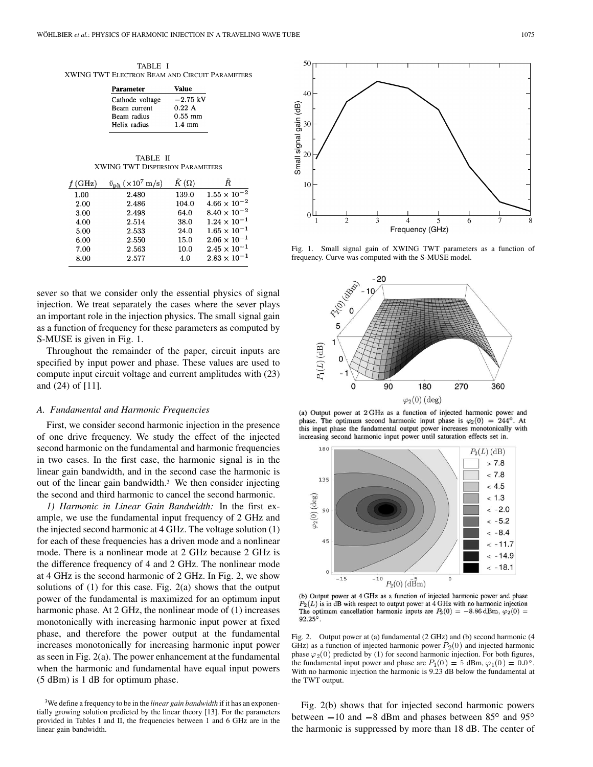TABLE I XWING TWT ELECTRON BEAM AND CIRCUIT PARAMETERS

| Parameter       | Value            |
|-----------------|------------------|
| Cathode voltage | –2.75 kV         |
| Beam current    | 0.22A            |
| Beam radius     | $0.55$ mm        |
| Helix radius    | $1.4 \text{ mm}$ |
|                 |                  |

TABLE II XWING TWT DISPERSION PARAMETERS

| $f$ (GHz) | $\tilde{v}_{\rm ph}$ (×10 <sup>7</sup> m/s) | $\tilde{K}(\Omega)$ |                       |
|-----------|---------------------------------------------|---------------------|-----------------------|
| 1.00      | 2.480                                       | 139.0               | $1.55 \times 10^{-2}$ |
| 2.00      | 2.486                                       | 104.0               | $4.66 \times 10^{-2}$ |
| 3.00      | 2.498                                       | 64.0                | $8.40 \times 10^{-2}$ |
| 4.00      | 2.514                                       | 38.0                | $1.24 \times 10^{-1}$ |
| 5.00      | 2.533                                       | 24.0                | $1.65 \times 10^{-1}$ |
| 6.00      | 2.550                                       | 15.0                | $2.06 \times 10^{-1}$ |
| 7.00      | 2.563                                       | 10.0                | $2.45 \times 10^{-1}$ |
| 8.00      | 2.577                                       | 4.0                 | $2.83 \times 10^{-1}$ |
|           |                                             |                     |                       |

sever so that we consider only the essential physics of signal injection. We treat separately the cases where the sever plays an important role in the injection physics. The small signal gain as a function of frequency for these parameters as computed by S-MUSE is given in Fig. 1.

Throughout the remainder of the paper, circuit inputs are specified by input power and phase. These values are used to compute input circuit voltage and current amplitudes with (23) and (24) of [[11\]](#page-12-0).

## *A. Fundamental and Harmonic Frequencies*

First, we consider second harmonic injection in the presence of one drive frequency. We study the effect of the injected second harmonic on the fundamental and harmonic frequencies in two cases. In the first case, the harmonic signal is in the linear gain bandwidth, and in the second case the harmonic is out of the linear gain bandwidth.3 We then consider injecting the second and third harmonic to cancel the second harmonic.

*1) Harmonic in Linear Gain Bandwidth:* In the first example, we use the fundamental input frequency of 2 GHz and the injected second harmonic at 4 GHz. The voltage solution (1) for each of these frequencies has a driven mode and a nonlinear mode. There is a nonlinear mode at 2 GHz because 2 GHz is the difference frequency of 4 and 2 GHz. The nonlinear mode at 4 GHz is the second harmonic of 2 GHz. In Fig. 2, we show solutions of (1) for this case. Fig. 2(a) shows that the output power of the fundamental is maximized for an optimum input harmonic phase. At 2 GHz, the nonlinear mode of (1) increases monotonically with increasing harmonic input power at fixed phase, and therefore the power output at the fundamental increases monotonically for increasing harmonic input power as seen in Fig. 2(a). The power enhancement at the fundamental when the harmonic and fundamental have equal input powers (5 dBm) is 1 dB for optimum phase.





Fig. 1. Small signal gain of XWING TWT parameters as a function of frequency. Curve was computed with the S-MUSE model.



(a) Output power at 2 GHz as a function of injected harmonic power and phase. The optimum second harmonic input phase is  $\varphi_2(0) = 244^\circ$ . At this input phase the fundamental output power increases monotonically with increasing second harmonic input power until saturation effects set in.



(b) Output power at 4 GHz as a function of injected harmonic power and phase  $P_2(L)$  is in dB with respect to output power at 4 GHz with no harmonic injection The optimum cancellation harmonic inputs are  $P_2(0) = -8.86$  dBm,  $\varphi_2(0) =$  $92.25^{\circ}$ .

Fig. 2. Output power at (a) fundamental (2 GHz) and (b) second harmonic (4 GHz) as a function of injected harmonic power  $P_2(0)$  and injected harmonic phase  $\varphi_2(0)$  predicted by (1) for second harmonic injection. For both figures, the fundamental input power and phase are  $P_1(0) = 5$  dBm,  $\varphi_1(0) = 0.0^\circ$ . With no harmonic injection the harmonic is 9.23 dB below the fundamental at the TWT output.

Fig. 2(b) shows that for injected second harmonic powers between  $-10$  and  $-8$  dBm and phases between  $85^{\circ}$  and  $95^{\circ}$ the harmonic is suppressed by more than 18 dB. The center of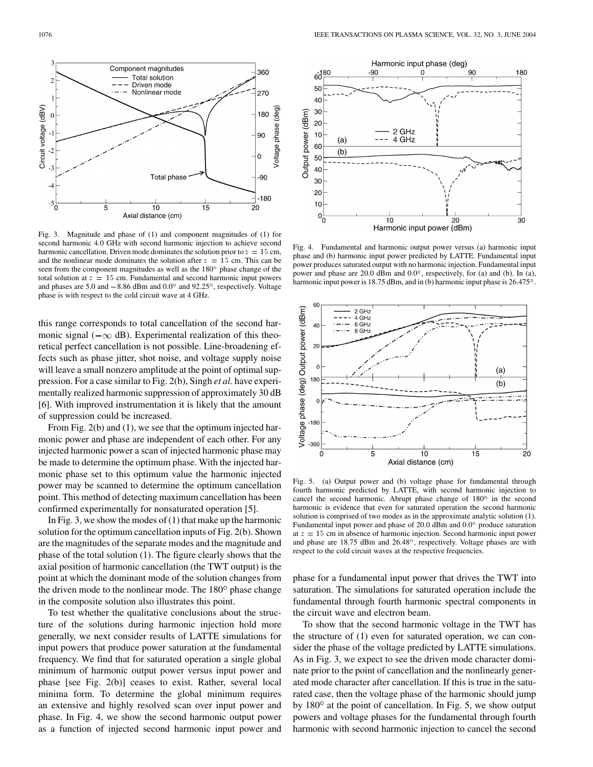

Fig. 3. Magnitude and phase of (1) and component magnitudes of (1) for second harmonic 4.0 GHz with second harmonic injection to achieve second harmonic cancellation. Driven mode dominates the solution prior to  $z = 15$  cm, and the nonlinear mode dominates the solution after  $z = 15$  cm. This can be seen from the component magnitudes as well as the  $180^\circ$  phase change of the total solution at  $z = 15$  cm. Fundamental and second harmonic input powers and phases are 5.0 and  $-8.86$  dBm and  $0.0^{\circ}$  and  $92.25^{\circ}$ , respectively. Voltage phase is with respect to the cold circuit wave at 4 GHz.

this range corresponds to total cancellation of the second harmonic signal ( $-\infty$  dB). Experimental realization of this theoretical perfect cancellation is not possible. Line-broadening effects such as phase jitter, shot noise, and voltage supply noise will leave a small nonzero amplitude at the point of optimal suppression. For a case similar to Fig. 2(b), Singh *et al.* have experimentally realized harmonic suppression of approximately 30 dB [[6\]](#page-12-0). With improved instrumentation it is likely that the amount of suppression could be increased.

From Fig. 2(b) and (1), we see that the optimum injected harmonic power and phase are independent of each other. For any injected harmonic power a scan of injected harmonic phase may be made to determine the optimum phase. With the injected harmonic phase set to this optimum value the harmonic injected power may be scanned to determine the optimum cancellation point. This method of detecting maximum cancellation has been confirmed experimentally for nonsaturated operation [\[5](#page-12-0)].

In Fig. 3, we show the modes of  $(1)$  that make up the harmonic solution for the optimum cancellation inputs of Fig. 2(b). Shown are the magnitudes of the separate modes and the magnitude and phase of the total solution (1). The figure clearly shows that the axial position of harmonic cancellation (the TWT output) is the point at which the dominant mode of the solution changes from the driven mode to the nonlinear mode. The  $180^\circ$  phase change in the composite solution also illustrates this point.

To test whether the qualitative conclusions about the structure of the solutions during harmonic injection hold more generally, we next consider results of LATTE simulations for input powers that produce power saturation at the fundamental frequency. We find that for saturated operation a single global minimum of harmonic output power versus input power and phase [see Fig. 2(b)] ceases to exist. Rather, several local minima form. To determine the global minimum requires an extensive and highly resolved scan over input power and phase. In Fig. 4, we show the second harmonic output power as a function of injected second harmonic input power and



Fig. 4. Fundamental and harmonic output power versus (a) harmonic input phase and (b) harmonic input power predicted by LATTE. Fundamental input power produces saturated output with no harmonic injection. Fundamental input power and phase are 20.0 dBm and  $0.0^{\circ}$ , respectively, for (a) and (b). In (a), harmonic input power is 18.75 dBm, and in (b) harmonic input phase is 26.475°.



Fig. 5. (a) Output power and (b) voltage phase for fundamental through fourth harmonic predicted by LATTE, with second harmonic injection to cancel the second harmonic. Abrupt phase change of  $180^\circ$  in the second harmonic is evidence that even for saturated operation the second harmonic solution is comprised of two modes as in the approximate analytic solution (1). Fundamental input power and phase of 20.0 dBm and  $0.0^{\circ}$  produce saturation at  $z = 15$  cm in absence of harmonic injection. Second harmonic input power and phase are 18.75 dBm and 26.48°, respectively. Voltage phases are with respect to the cold circuit waves at the respective frequencies.

phase for a fundamental input power that drives the TWT into saturation. The simulations for saturated operation include the fundamental through fourth harmonic spectral components in the circuit wave and electron beam.

To show that the second harmonic voltage in the TWT has the structure of (1) even for saturated operation, we can consider the phase of the voltage predicted by LATTE simulations. As in Fig. 3, we expect to see the driven mode character dominate prior to the point of cancellation and the nonlinearly generated mode character after cancellation. If this is true in the saturated case, then the voltage phase of the harmonic should jump by  $180^\circ$  at the point of cancellation. In Fig. 5, we show output powers and voltage phases for the fundamental through fourth harmonic with second harmonic injection to cancel the second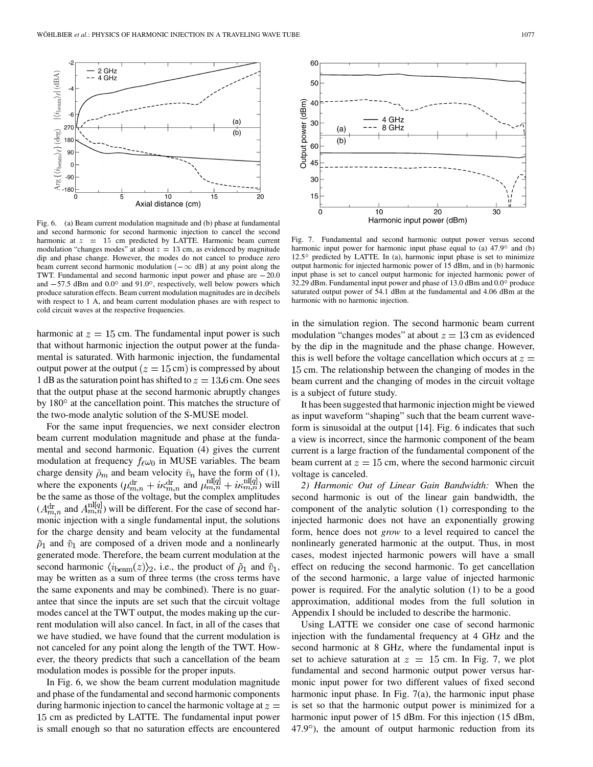

Fig. 6. (a) Beam current modulation magnitude and (b) phase at fundamental and second harmonic for second harmonic injection to cancel the second harmonic at  $z = 15$  cm predicted by LATTE. Harmonic beam current modulation "changes modes" at about  $z = 13$  cm, as evidenced by magnitude dip and phase change. However, the modes do not cancel to produce zero beam curren modulation "changes modes" at about  $z = 13$  cm, as evidenced by magnitude dip and phase change. However, the modes do not cancel to produce zero beam current second harmonic modulation  $(-\infty$  dB) at any point along the TWT. Fundamental and second harmonic input power and phase are  $-20.0$ and  $-57.5$  dBm and  $0.0^{\circ}$  and  $91.0^{\circ}$ , respectively, well below powers which produce saturation effects. Beam current modulation magnitudes are in decibels with respect to 1 A, and beam current modulation phases are with respect to cold circuit waves at the respective frequencies.

harmonic at  $z = 15$  cm. The fundamental input power is such that without harmonic injection the output power at the fundamental is saturated. With harmonic injection, the fundamental output power at the output  $(z=15 \text{ cm})$  is compressed by about 1 dB as the saturation point has shifted to  $z = 13.6$  cm. One sees that the output phase at the second harmonic abruptly changes by  $180^\circ$  at the cancellation point. This matches the structure of the two-mode analytic solution of the S-MUSE model.

For the same input frequencies, we next consider electron beam current modulation magnitude and phase at the fundamental and second harmonic. Equation (4) gives the current modulation at frequency  $f_{\ell}\omega_0$  in MUSE variables. The beam charge density  $\tilde{\rho}_m$  and beam velocity  $\tilde{v}_n$  have the form of (1), where the exponents  $(\mu_{m,n}^{\text{dr}} + i\kappa_{m,n}^{\text{dr}}$  and  $\mu_{m,n}^{\text{nl}[q]} + i\kappa_{m,n}^{\text{nl}[q]}$  will be the same as those of the voltage, but the complex amplitudes  $(A_{m,n}^{dr}$  and  $A_{m,n}^{nl[q]}$ ) will be different. For the case of second harmonic injection with a single fundamental input, the solutions for the charge density and beam velocity at the fundamental  $\tilde{\rho}_1$  and  $\tilde{v}_1$  are composed of a driven mode and a nonlinearly generated mode. Therefore, the beam current modulation at the second harmonic  $\langle i_{\text{beam}}(z) \rangle_2$ , i.e., the product of  $\tilde{\rho}_1$  and  $\tilde{v}_1$ , may be written as a sum of three terms (the cross terms have the same exponents and may be combined). There is no guarantee that since the inputs are set such that the circuit voltage modes cancel at the TWT output, the modes making up the current modulation will also cancel. In fact, in all of the cases that we have studied, we have found that the current modulation is not canceled for any point along the length of the TWT. However, the theory predicts that such a cancellation of the beam modulation modes is possible for the proper inputs.

In Fig. 6, we show the beam current modulation magnitude and phase of the fundamental and second harmonic components during harmonic injection to cancel the harmonic voltage at  $z =$ 15 cm as predicted by LATTE. The fundamental input power is small enough so that no saturation effects are encountered



Fig. 7. Fundamental and second harmonic output power versus second harmonic input power for harmonic input phase equal to (a)  $47.9^\circ$  and (b)  $12.5^{\circ}$  predicted by LATTE. In (a), harmonic input phase is set to minimize output harmonic for injected harmonic power of 15 dBm, and in (b) harmonic input phase is set to cancel output harmonic for injected harmonic power of 32.29 dBm. Fundamental input power and phase of 13.0 dBm and  $0.0^{\circ}$  produce saturated output power of 54.1 dBm at the fundamental and 4.06 dBm at the harmonic with no harmonic injection.

in the simulation region. The second harmonic beam current modulation "changes modes" at about  $z = 13$  cm as evidenced by the dip in the magnitude and the phase change. However, this is well before the voltage cancellation which occurs at  $z =$ 15 cm. The relationship between the changing of modes in the beam current and the changing of modes in the circuit voltage is a subject of future study.

It has been suggested that harmonic injection might be viewed as input waveform "shaping" such that the beam current waveform is sinusoidal at the output [[14\]](#page-12-0). Fig. 6 indicates that such a view is incorrect, since the harmonic component of the beam current is a large fraction of the fundamental component of the beam current at  $z = 15$  cm, where the second harmonic circuit voltage is canceled.

*2) Harmonic Out of Linear Gain Bandwidth:* When the second harmonic is out of the linear gain bandwidth, the component of the analytic solution (1) corresponding to the injected harmonic does not have an exponentially growing form, hence does not *grow* to a level required to cancel the nonlinearly generated harmonic at the output. Thus, in most cases, modest injected harmonic powers will have a small effect on reducing the second harmonic. To get cancellation of the second harmonic, a large value of injected harmonic power is required. For the analytic solution (1) to be a good approximation, additional modes from the full solution in Appendix I should be included to describe the harmonic.

Using LATTE we consider one case of second harmonic injection with the fundamental frequency at 4 GHz and the second harmonic at 8 GHz, where the fundamental input is set to achieve saturation at  $z = 15$  cm. In Fig. 7, we plot fundamental and second harmonic output power versus harmonic input power for two different values of fixed second harmonic input phase. In Fig. 7(a), the harmonic input phase is set so that the harmonic output power is minimized for a harmonic input power of 15 dBm. For this injection (15 dBm,  $47.9^\circ$ ), the amount of output harmonic reduction from its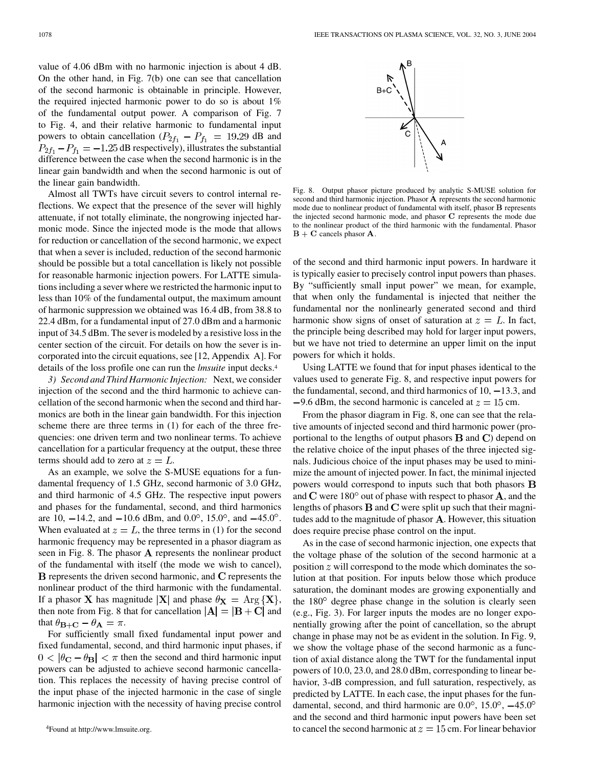value of 4.06 dBm with no harmonic injection is about 4 dB. On the other hand, in Fig. 7(b) one can see that cancellation of the second harmonic is obtainable in principle. However, the required injected harmonic power to do so is about 1% of the fundamental output power. A comparison of Fig. 7 to Fig. 4, and their relative harmonic to fundamental input powers to obtain cancellation  $(P_{2f_1} - P_{f_1} = 19.29 \text{ dB}$  and  $P_{2f_1} - P_{f_1} = -1.25$  dB respectively), illustrates the substantial difference between the case when the second harmonic is in the linear gain bandwidth and when the second harmonic is out of the linear gain bandwidth.

Almost all TWTs have circuit severs to control internal reflections. We expect that the presence of the sever will highly attenuate, if not totally eliminate, the nongrowing injected harmonic mode. Since the injected mode is the mode that allows for reduction or cancellation of the second harmonic, we expect that when a sever is included, reduction of the second harmonic should be possible but a total cancellation is likely not possible for reasonable harmonic injection powers. For LATTE simulations including a sever where we restricted the harmonic input to less than 10% of the fundamental output, the maximum amount of harmonic suppression we obtained was 16.4 dB, from 38.8 to 22.4 dBm, for a fundamental input of 27.0 dBm and a harmonic input of 34.5 dBm. The sever is modeled by a resistive loss in the center section of the circuit. For details on how the sever is incorporated into the circuit equations, see [\[12](#page-12-0), Appendix A]. For details of the loss profile one can run the *lmsuite* input decks.4

*3) Second and Third Harmonic Injection:* Next, we consider injection of the second and the third harmonic to achieve cancellation of the second harmonic when the second and third harmonics are both in the linear gain bandwidth. For this injection scheme there are three terms in (1) for each of the three frequencies: one driven term and two nonlinear terms. To achieve cancellation for a particular frequency at the output, these three terms should add to zero at  $z = L$ .

As an example, we solve the S-MUSE equations for a fundamental frequency of 1.5 GHz, second harmonic of 3.0 GHz, and third harmonic of 4.5 GHz. The respective input powers and phases for the fundamental, second, and third harmonics are 10,  $-14.2$ , and  $-10.6$  dBm, and  $0.0^{\circ}$ , 15.0°, and  $-45.0^{\circ}$ . When evaluated at  $z = L$ , the three terms in (1) for the second harmonic frequency may be represented in a phasor diagram as seen in Fig. 8. The phasor  $A$  represents the nonlinear product of the fundamental with itself (the mode we wish to cancel),  $\bf{B}$  represents the driven second harmonic, and  $\bf{C}$  represents the nonlinear product of the third harmonic with the fundamental. If a phasor **X** has magnitude  $|X|$  and phase  $\theta_X = \text{Arg} \{X\},\$ then note from Fig. 8 that for cancellation  $|\mathbf{A}| = |\mathbf{B} + \mathbf{C}|$  and that  $\theta_{\mathbf{B}+\mathbf{C}} - \theta_{\mathbf{A}} = \pi$ .

For sufficiently small fixed fundamental input power and fixed fundamental, second, and third harmonic input phases, if  $0 < |\theta_{\rm C} - \theta_{\rm B}| < \pi$  then the second and third harmonic input powers can be adjusted to achieve second harmonic cancellation. This replaces the necessity of having precise control of the input phase of the injected harmonic in the case of single harmonic injection with the necessity of having precise control



Fig. 8. Output phasor picture produced by analytic S-MUSE solution for second and third harmonic injection. Phasor A represents the second harmonic mode due to nonlinear product of fundamental with itself, phasor B represents the injected second harmonic mode, and phasor C represents the mode due to the nonlinear product of the third harmonic with the fundamental. Phasor  $B + C$  cancels phasor A.

of the second and third harmonic input powers. In hardware it is typically easier to precisely control input powers than phases. By "sufficiently small input power" we mean, for example, that when only the fundamental is injected that neither the fundamental nor the nonlinearly generated second and third harmonic show signs of onset of saturation at  $z = L$ . In fact, the principle being described may hold for larger input powers, but we have not tried to determine an upper limit on the input powers for which it holds.

Using LATTE we found that for input phases identical to the values used to generate Fig. 8, and respective input powers for the fundamental, second, and third harmonics of  $10, -13.3$ , and  $-9.6$  dBm, the second harmonic is canceled at  $z = 15$  cm.

From the phasor diagram in Fig. 8, one can see that the relative amounts of injected second and third harmonic power (proportional to the lengths of output phasors  $\bf{B}$  and  $\bf{C}$ ) depend on the relative choice of the input phases of the three injected signals. Judicious choice of the input phases may be used to minimize the amount of injected power. In fact, the minimal injected powers would correspond to inputs such that both phasors and  $C$  were 180 $^{\circ}$  out of phase with respect to phasor  $A$ , and the lengths of phasors  $\bf{B}$  and  $\bf{C}$  were split up such that their magnitudes add to the magnitude of phasor  $A$ . However, this situation does require precise phase control on the input.

As in the case of second harmonic injection, one expects that the voltage phase of the solution of the second harmonic at a position  $z$  will correspond to the mode which dominates the solution at that position. For inputs below those which produce saturation, the dominant modes are growing exponentially and the  $180^\circ$  degree phase change in the solution is clearly seen (e.g., Fig. 3). For larger inputs the modes are no longer exponentially growing after the point of cancellation, so the abrupt change in phase may not be as evident in the solution. In Fig. 9, we show the voltage phase of the second harmonic as a function of axial distance along the TWT for the fundamental input powers of 10.0, 23.0, and 28.0 dBm, corresponding to linear behavior, 3-dB compression, and full saturation, respectively, as predicted by LATTE. In each case, the input phases for the fundamental, second, and third harmonic are  $0.0^{\circ}$ ,  $15.0^{\circ}$ ,  $-45.0^{\circ}$ and the second and third harmonic input powers have been set to cancel the second harmonic at  $z=15$  cm. For linear behavior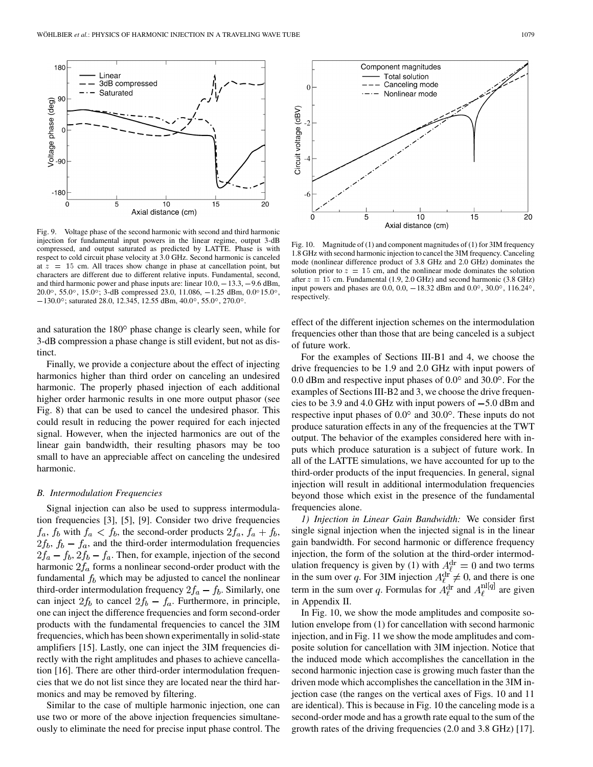

Fig. 9. Voltage phase of the second harmonic with second and third harmonic injection for fundamental input powers in the linear regime, output 3-dB compressed, and output saturated as predicted by LATTE. Phase is with respect to cold circuit phase velocity at 3.0 GHz. Second harmonic is canceled at  $z = 15$  cm. All traces show change in phase at cancellation point, but characters are different due to different relative inputs. Fundamental, second, respect to cold circuit phase velocity at 3.0 GHz. Second harmonic is canceled<br>at  $z = 15$  cm. All traces show change in phase at cancellation point, but<br>characters are different due to different relative inputs. Fundament at  $z = 15$  cm. All traces show change in phase at cancellation point, but characters are different thue to different relative inputs. Fundamental, second, and third harmonic power and phase inputs are: linear 10.0, -13.3,  $-130.0^{\circ}$ ; saturated 28.0, 12.345, 12.55 dBm, 40.0°, 55.0°, 270.0°.

and saturation the  $180^\circ$  phase change is clearly seen, while for 3-dB compression a phase change is still evident, but not as distinct.

Finally, we provide a conjecture about the effect of injecting harmonics higher than third order on canceling an undesired harmonic. The properly phased injection of each additional higher order harmonic results in one more output phasor (see Fig. 8) that can be used to cancel the undesired phasor. This could result in reducing the power required for each injected signal. However, when the injected harmonics are out of the linear gain bandwidth, their resulting phasors may be too small to have an appreciable affect on canceling the undesired harmonic.

#### *B. Intermodulation Frequencies*

Signal injection can also be used to suppress intermodulation frequencies [\[3](#page-11-0)], [\[5](#page-12-0)], [\[9](#page-12-0)]. Consider two drive frequencies  $f_a$ ,  $f_b$  with  $f_a < f_b$ , the second-order products  $2f_a$ ,  $f_a + f_b$ ,  $2f_b$ ,  $f_b - f_a$ , and the third-order intermodulation frequencies  $2f_a - f_b$ ,  $2f_b - f_a$ . Then, for example, injection of the second harmonic  $2f_a$  forms a nonlinear second-order product with the fundamental  $f_b$  which may be adjusted to cancel the nonlinear third-order intermodulation frequency  $2f_a - f_b$ . Similarly, one can inject  $2f_b$  to cancel  $2f_b - f_a$ . Furthermore, in principle, one can inject the difference frequencies and form second-order products with the fundamental frequencies to cancel the 3IM frequencies, which has been shown experimentally in solid-state amplifiers [[15\]](#page-12-0). Lastly, one can inject the 3IM frequencies directly with the right amplitudes and phases to achieve cancellation [[16\]](#page-12-0). There are other third-order intermodulation frequencies that we do not list since they are located near the third harmonics and may be removed by filtering.

Similar to the case of multiple harmonic injection, one can use two or more of the above injection frequencies simultaneously to eliminate the need for precise input phase control. The



Fig. 10. Magnitude of (1) and component magnitudes of (1) for 3IM frequency 1.8 GHz with second harmonic injection to cancel the 3IM frequency. Canceling mode (nonlinear difference product of 3.8 GHz and 2.0 GHz) dominates the solution prior to  $z = 15$  cm, and the nonlinear mode dominates the solution after  $z = 15$  cm. Fundamental (1.9, 2.0 GHz) and second harmonic (3.8 GHz) mode (nonlinear difference product of 3.8 GHz and 2.0 GHz) dominates the solution prior to  $z = 15$  cm, and the nonlinear mode dominates the solution after  $z = 15$  cm. Fundamental (1.9, 2.0 GHz) and second harmonic (3.8 GH respectively.

effect of the different injection schemes on the intermodulation frequencies other than those that are being canceled is a subject of future work.

For the examples of Sections III-B1 and 4, we choose the drive frequencies to be 1.9 and 2.0 GHz with input powers of 0.0 dBm and respective input phases of  $0.0^{\circ}$  and  $30.0^{\circ}$ . For the examples of Sections III-B2 and 3, we choose the drive frequencies to be 3.9 and 4.0 GHz with input powers of  $-5.0$  dBm and respective input phases of  $0.0^\circ$  and  $30.0^\circ$ . These inputs do not produce saturation effects in any of the frequencies at the TWT output. The behavior of the examples considered here with inputs which produce saturation is a subject of future work. In all of the LATTE simulations, we have accounted for up to the third-order products of the input frequencies. In general, signal injection will result in additional intermodulation frequencies beyond those which exist in the presence of the fundamental frequencies alone.

*1) Injection in Linear Gain Bandwidth:* We consider first single signal injection when the injected signal is in the linear gain bandwidth. For second harmonic or difference frequency injection, the form of the solution at the third-order intermodulation frequency is given by (1) with  $A_{\ell}^{dr} = 0$  and two terms in the sum over q. For 3IM injection  $A_{\ell}^{\text{dr}} \neq 0$ , and there is one term in the sum over q. Formulas for  $A_{\ell}^{dr}$  and  $A_{\ell}^{uq}$  are given in Appendix II.

In Fig. 10, we show the mode amplitudes and composite solution envelope from (1) for cancellation with second harmonic injection, and in Fig. 11 we show the mode amplitudes and composite solution for cancellation with 3IM injection. Notice that the induced mode which accomplishes the cancellation in the second harmonic injection case is growing much faster than the driven mode which accomplishes the cancellation in the 3IM injection case (the ranges on the vertical axes of Figs. 10 and 11 are identical). This is because in Fig. 10 the canceling mode is a second-order mode and has a growth rate equal to the sum of the growth rates of the driving frequencies (2.0 and 3.8 GHz) [\[17](#page-12-0)].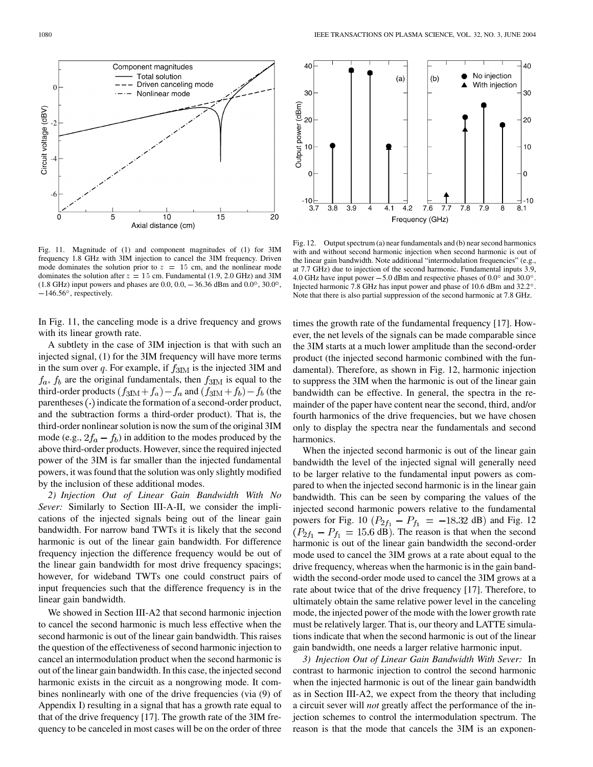In Fig. 11, the canceling mode is a drive frequency and grows with its linear growth rate.

Fig. 11. Magnitude of (1) and component magnitudes of (1) for 3IM frequency 1.8 GHz with 3IM injection to cancel the 3IM frequency. Driven mode dominates the solution prior to  $z = 15$  cm, and the nonlinear mode dominates the solution after  $z = 15$  cm. Fundamental (1.9, 2.0 GHz) and 3IM (1.8 GHz) input powers and phases are 0.0, 0.0,  $-36.36$  dBm and 0.0 $^{\circ}$ , 30.0 $^{\circ}$ ,

 $10$ 

Axial distance (cm)

15

20

Component magnitudes

**Total solution** 

Nonlinear mode

Driven canceling mode

A subtlety in the case of 3IM injection is that with such an injected signal, (1) for the 3IM frequency will have more terms in the sum over q. For example, if  $f_{3IM}$  is the injected 3IM and  $f_a$ ,  $f_b$  are the original fundamentals, then  $f_{3IM}$  is equal to the third-order products  $(f_{3IM} + f_a) - f_a$  and  $(f_{3IM} + f_b) - f_b$  (the parentheses  $\left(\cdot\right)$  indicate the formation of a second-order product, and the subtraction forms a third-order product). That is, the third-order nonlinear solution is now the sum of the original 3IM mode (e.g.,  $2f_a - f_b$ ) in addition to the modes produced by the above third-order products. However, since the required injected power of the 3IM is far smaller than the injected fundamental powers, it was found that the solution was only slightly modified by the inclusion of these additional modes.

*2) Injection Out of Linear Gain Bandwidth With No Sever:* Similarly to Section III-A-II, we consider the implications of the injected signals being out of the linear gain bandwidth. For narrow band TWTs it is likely that the second harmonic is out of the linear gain bandwidth. For difference frequency injection the difference frequency would be out of the linear gain bandwidth for most drive frequency spacings; however, for wideband TWTs one could construct pairs of input frequencies such that the difference frequency is in the linear gain bandwidth.

We showed in Section III-A2 that second harmonic injection to cancel the second harmonic is much less effective when the second harmonic is out of the linear gain bandwidth. This raises the question of the effectiveness of second harmonic injection to cancel an intermodulation product when the second harmonic is out of the linear gain bandwidth. In this case, the injected second harmonic exists in the circuit as a nongrowing mode. It combines nonlinearly with one of the drive frequencies (via (9) of Appendix I) resulting in a signal that has a growth rate equal to that of the drive frequency [\[17](#page-12-0)]. The growth rate of the 3IM frequency to be canceled in most cases will be on the order of three times the growth rate of the fundamental frequency [[17\]](#page-12-0). However, the net levels of the signals can be made comparable since the 3IM starts at a much lower amplitude than the second-order product (the injected second harmonic combined with the fundamental). Therefore, as shown in Fig. 12, harmonic injection to suppress the 3IM when the harmonic is out of the linear gain bandwidth can be effective. In general, the spectra in the remainder of the paper have content near the second, third, and/or fourth harmonics of the drive frequencies, but we have chosen only to display the spectra near the fundamentals and second

When the injected second harmonic is out of the linear gain bandwidth the level of the injected signal will generally need to be larger relative to the fundamental input powers as compared to when the injected second harmonic is in the linear gain bandwidth. This can be seen by comparing the values of the injected second harmonic powers relative to the fundamental powers for Fig. 10 ( $P_{2f_1} - P_{f_1} = -18.32$  dB) and Fig. 12

harmonic is out of the linear gain bandwidth the second-order mode used to cancel the 3IM grows at a rate about equal to the drive frequency, whereas when the harmonic is in the gain bandwidth the second-order mode used to cancel the 3IM grows at a rate about twice that of the drive frequency [[17\]](#page-12-0). Therefore, to ultimately obtain the same relative power level in the canceling mode, the injected power of the mode with the lower growth rate must be relatively larger. That is, our theory and LATTE simulations indicate that when the second harmonic is out of the linear gain bandwidth, one needs a larger relative harmonic input. *3) Injection Out of Linear Gain Bandwidth With Sever:* In contrast to harmonic injection to control the second harmonic when the injected harmonic is out of the linear gain bandwidth as in Section III-A2, we expect from the theory that including a circuit sever will *not* greatly affect the performance of the injection schemes to control the intermodulation spectrum. The reason is that the mode that cancels the 3IM is an exponen-

dB). The reason is that when the second

harmonics.

40

30

20

40 No injection  $(a)$  $(b)$ With injection

30

20



Fig. 12. Output spectrum (a) near fundamentals and (b) near second harmonics with and without second harmonic injection when second harmonic is out of the linear gain bandwidth. Note additional "intermodulation frequencies" (e.g., at 7.7 GHz) due to injection of the second harmonic. Fundamental inputs 3.9, with and without second harmonic injection when second harmonic is out of<br>the linear gain bandwidth. Note additional "intermodulation frequencies" (e.g.,<br>at 7.7 GHz) due to injection of the second harmonic. Fundamental in Injected harmonic 7.8 GHz has input power and phase of 10.6 dBm and  $32.2^{\circ}$ Note that there is also partial suppression of the second harmonic at 7.8 GHz.

 $\Omega$ 

Circuit voltage (dBV)

-6

 $\Omega$ 

 $-146.56^\circ$ , respectively.

5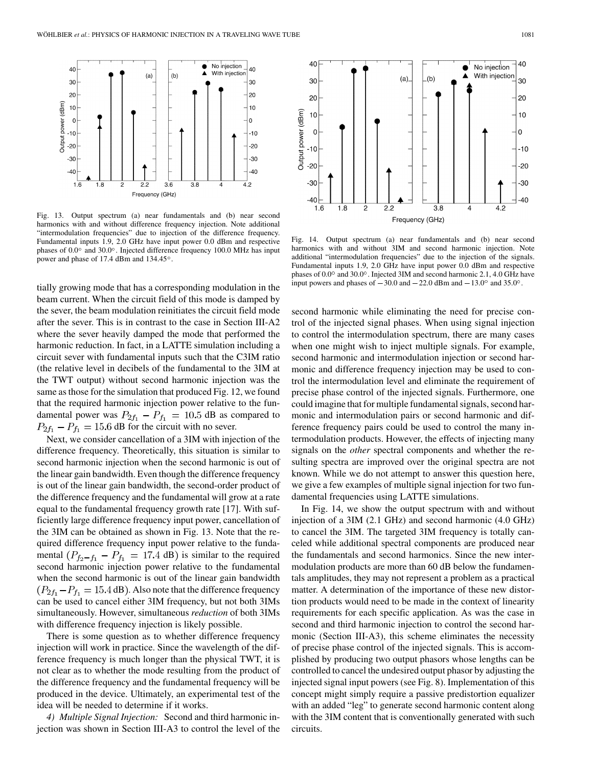

Fig. 13. Output spectrum (a) near fundamentals and (b) near second harmonics with and without difference frequency injection. Note additional "intermodulation frequencies" due to injection of the difference frequency. Fundamental inputs 1.9, 2.0 GHz have input power 0.0 dBm and respective phases of  $0.0^{\circ}$  and  $30.0^{\circ}$ . Injected difference frequency 100.0 MHz has input power and phase of 17.4 dBm and 134.45°.

tially growing mode that has a corresponding modulation in the beam current. When the circuit field of this mode is damped by the sever, the beam modulation reinitiates the circuit field mode after the sever. This is in contrast to the case in Section III-A2 where the sever heavily damped the mode that performed the harmonic reduction. In fact, in a LATTE simulation including a circuit sever with fundamental inputs such that the C3IM ratio (the relative level in decibels of the fundamental to the 3IM at the TWT output) without second harmonic injection was the same as those for the simulation that produced Fig. 12, we found that the required harmonic injection power relative to the fundamental power was  $P_{2f_1} - P_{f_1} = 10.5$  dB as compared to  $P_{2f_1} - P_{f_1} = 15.6$  dB for the circuit with no sever.

Next, we consider cancellation of a 3IM with injection of the difference frequency. Theoretically, this situation is similar to second harmonic injection when the second harmonic is out of the linear gain bandwidth. Even though the difference frequency is out of the linear gain bandwidth, the second-order product of the difference frequency and the fundamental will grow at a rate equal to the fundamental frequency growth rate [\[17](#page-12-0)]. With sufficiently large difference frequency input power, cancellation of the 3IM can be obtained as shown in Fig. 13. Note that the required difference frequency input power relative to the fundamental  $(P_{f_2-f_1} - P_{f_1} = 17.4 \text{ dB})$  is similar to the required second harmonic injection power relative to the fundamental when the second harmonic is out of the linear gain bandwidth  $(P_{2f_1} - P_{f_1} = 15.4 \text{ dB})$ . Also note that the difference frequency can be used to cancel either 3IM frequency, but not both 3IMs simultaneously. However, simultaneous *reduction* of both 3IMs with difference frequency injection is likely possible.

There is some question as to whether difference frequency injection will work in practice. Since the wavelength of the difference frequency is much longer than the physical TWT, it is not clear as to whether the mode resulting from the product of the difference frequency and the fundamental frequency will be produced in the device. Ultimately, an experimental test of the idea will be needed to determine if it works.

*4) Multiple Signal Injection:* Second and third harmonic injection was shown in Section III-A3 to control the level of the



Fig. 14. Output spectrum (a) near fundamentals and (b) near second harmonics with and without 3IM and second harmonic injection. Note additional "intermodulation frequencies" due to the injection of the signals. Fundamental inputs 1.9, 2.0 GHz have input power 0.0 dBm and respective phases of  $0.0^{\circ}$  and  $30.0^{\circ}$ . Injected 3IM and second harmonic 2.1, 4.0 GHz have additional "intermodulation frequencies" due to the injection of the signed Fundamental inputs 1.9, 2.0 GHz have input power 0.0 dBm and respections of 0.0° and 30.0°. Injected 3IM and second harmonic 2.1, 4.0 GHz haput p

second harmonic while eliminating the need for precise control of the injected signal phases. When using signal injection to control the intermodulation spectrum, there are many cases when one might wish to inject multiple signals. For example, second harmonic and intermodulation injection or second harmonic and difference frequency injection may be used to control the intermodulation level and eliminate the requirement of precise phase control of the injected signals. Furthermore, one could imagine that for multiple fundamental signals, second harmonic and intermodulation pairs or second harmonic and difference frequency pairs could be used to control the many intermodulation products. However, the effects of injecting many signals on the *other* spectral components and whether the resulting spectra are improved over the original spectra are not known. While we do not attempt to answer this question here, we give a few examples of multiple signal injection for two fundamental frequencies using LATTE simulations.

In Fig. 14, we show the output spectrum with and without injection of a 3IM (2.1 GHz) and second harmonic (4.0 GHz) to cancel the 3IM. The targeted 3IM frequency is totally canceled while additional spectral components are produced near the fundamentals and second harmonics. Since the new intermodulation products are more than 60 dB below the fundamentals amplitudes, they may not represent a problem as a practical matter. A determination of the importance of these new distortion products would need to be made in the context of linearity requirements for each specific application. As was the case in second and third harmonic injection to control the second harmonic (Section III-A3), this scheme eliminates the necessity of precise phase control of the injected signals. This is accomplished by producing two output phasors whose lengths can be controlled to cancel the undesired output phasor by adjusting the injected signal input powers (see Fig. 8). Implementation of this concept might simply require a passive predistortion equalizer with an added "leg" to generate second harmonic content along with the 3IM content that is conventionally generated with such circuits.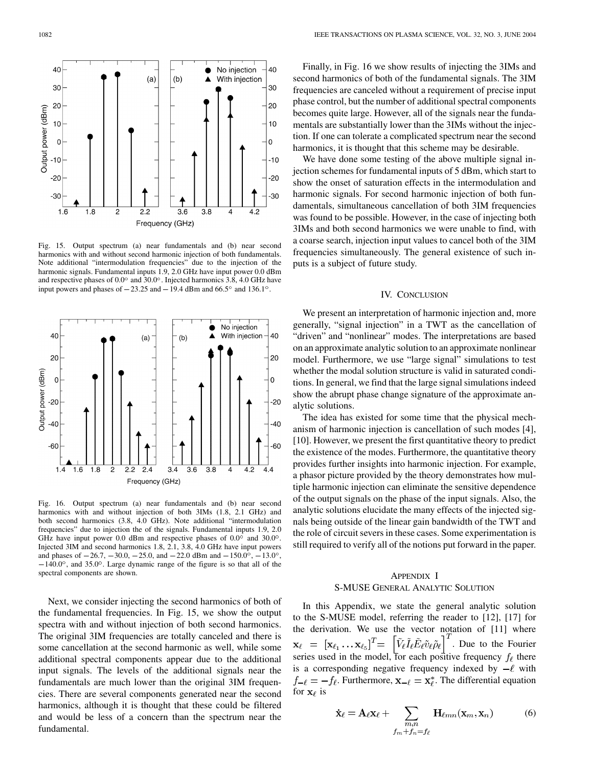$-10$ ە1. -20  $20$ -30  $-30$  $1.6$  $1.8$  $\overline{\mathbf{c}}$  $2.2$  $3.6$  $3.8$  $4.2$ 4 Frequency (GHz) Fig. 15. Output spectrum (a) near fundamentals and (b) near second

harmonics with and without second harmonic injection of both fundamentals. Note additional "intermodulation frequencies" due to the injection of the harmonic signals. Fundamental inputs 1.9, 2.0 GHz have input power 0.0 dBm and respective phases of  $0.0^{\circ}$  and  $30.0^{\circ}$ . Injected harmonics 3.8, 4.0 GHz have Note additional "intermodulation frequencies" due to the injection of harmonic signals. Fundamental inputs 1.9, 2.0 GHz have input power 0.0 d and respective phases of  $0.0^{\circ}$  and 30.0°. Injected harmonics 3.8, 4.0 GHz

puts is a subject of future study. IV. CONCLUSION

Fig. 16. Output spectrum (a) near fundamentals and (b) near second harmonics with and without injection of both 3IMs (1.8, 2.1 GHz) and both second harmonics (3.8, 4.0 GHz). Note additional "intermodulation frequencies" due to injection the of the signals. Fundamental inputs 1.9, 2.0 GHz have input power 0.0 dBm and respective phases of  $0.0^{\circ}$  and  $30.0^{\circ}$ . Injected 3IM and second harmonics 1.8, 2.1, 3.8, 4.0 GHz have i GHz have input power 0.0 dBm and respective phases of  $0.0^{\circ}$  and  $30.0^{\circ}$ . Injected 3IM and second harmonics 1.8, 2.1, 3.8, 4.0 GHz have input powers and phases of  $-26.7, -30.0, -25.0,$  and  $-22.0$  dBm and  $-150.0^{\circ}$ ,  $-13.0^{\circ}$ ,  $-140.0^\circ$ , and 35.0°. Large dynamic range of the figure is so that all of the spectral components are shown.

Next, we consider injecting the second harmonics of both of the fundamental frequencies. In Fig. 15, we show the output spectra with and without injection of both second harmonics. The original 3IM frequencies are totally canceled and there is some cancellation at the second harmonic as well, while some additional spectral components appear due to the additional input signals. The levels of the additional signals near the fundamentals are much lower than the original 3IM frequencies. There are several components generated near the second harmonics, although it is thought that these could be filtered and would be less of a concern than the spectrum near the fundamental.

Finally, in Fig. 16 we show results of injecting the 3IMs and second harmonics of both of the fundamental signals. The 3IM frequencies are canceled without a requirement of precise input phase control, but the number of additional spectral components becomes quite large. However, all of the signals near the fundamentals are substantially lower than the 3IMs without the injection. If one can tolerate a complicated spectrum near the second harmonics, it is thought that this scheme may be desirable.

We have done some testing of the above multiple signal injection schemes for fundamental inputs of 5 dBm, which start to show the onset of saturation effects in the intermodulation and harmonic signals. For second harmonic injection of both fundamentals, simultaneous cancellation of both 3IM frequencies was found to be possible. However, in the case of injecting both 3IMs and both second harmonics we were unable to find, with a coarse search, injection input values to cancel both of the 3IM frequencies simultaneously. The general existence of such in-

We present an interpretation of harmonic injection and, more generally, "signal injection" in a TWT as the cancellation of "driven" and "nonlinear" modes. The interpretations are based on an approximate analytic solution to an approximate nonlinear model. Furthermore, we use "large signal" simulations to test whether the modal solution structure is valid in saturated conditions. In general, we find that the large signal simulations indeed show the abrupt phase change signature of the approximate analytic solutions.

The idea has existed for some time that the physical mechanism of harmonic injection is cancellation of such modes [[4\]](#page-12-0), [[10\]](#page-12-0). However, we present the first quantitative theory to predict the existence of the modes. Furthermore, the quantitative theory provides further insights into harmonic injection. For example, a phasor picture provided by the theory demonstrates how multiple harmonic injection can eliminate the sensitive dependence of the output signals on the phase of the input signals. Also, the analytic solutions elucidate the many effects of the injected signals being outside of the linear gain bandwidth of the TWT and the role of circuit severs in these cases. Some experimentation is still required to verify all of the notions put forward in the paper.

# APPENDIX I S-MUSE GENERAL ANALYTIC SOLUTION

In this Appendix, we state the general analytic solution to the S-MUSE model, referring the reader to [[12\]](#page-12-0), [[17\]](#page-12-0) for the derivation. We use the vector notation of [\[11](#page-12-0)] where  $\mathbf{x}_{\ell} = [\mathbf{x}_{\ell_1} \dots \mathbf{x}_{\ell_5}]^T = [\tilde{V}_{\ell} \tilde{I}_{\ell} \tilde{E}_{\ell} \tilde{v}_{\ell} \tilde{\rho}_{\ell}]^T$ . Due to the Fourier series used in the model, for each positive frequency  $f_{\ell}$  there is a corresponding negative frequency indexed by  $-\ell$  with  $f_{-\ell} = -f_{\ell}$ . Furthermore,  $\mathbf{x}_{-\ell} = \mathbf{x}_{\ell}^*$ . The differential equation for  $\mathbf{x}_{\ell}$  is

$$
\dot{\mathbf{x}}_{\ell} = \mathbf{A}_{\ell} \mathbf{x}_{\ell} + \sum_{\substack{m,n \\ f_m + f_n = f_{\ell}}} \mathbf{H}_{\ell mn}(\mathbf{x}_m, \mathbf{x}_n)
$$
(6)



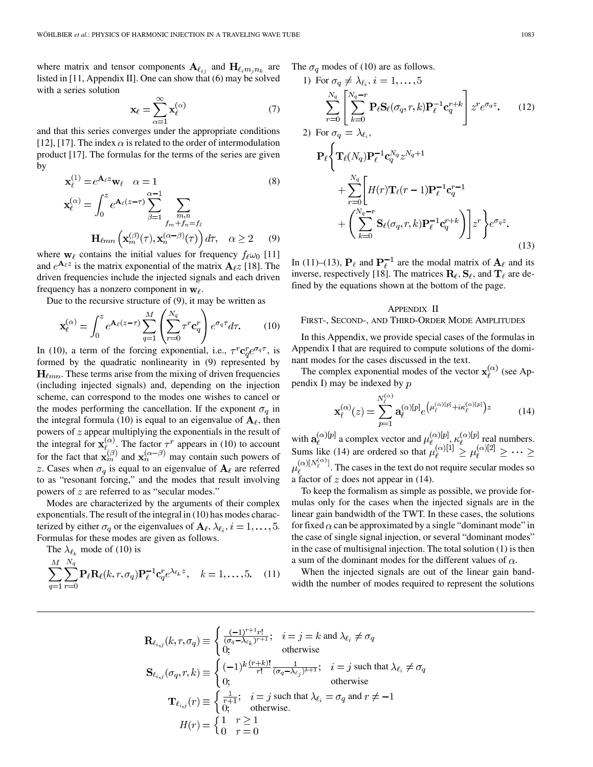where matrix and tensor components  $A_{\ell_{ij}}$  and  $H_{\ell_{i}m_{i}n_{k}}$  are listed in [[11,](#page-12-0) Appendix II]. One can show that (6) may be solved with a series solution

$$
\mathbf{x}_{\ell} = \sum_{\alpha=1}^{\infty} \mathbf{x}_{\ell}^{(\alpha)} \tag{7}
$$

and that this series converges under the appropriate conditions [\[12](#page-12-0)], [[17\]](#page-12-0). The index  $\alpha$  is related to the order of intermodulation product [\[17](#page-12-0)]. The formulas for the terms of the series are given by

$$
\mathbf{x}_{\ell}^{(1)} = e^{\mathbf{A}_{\ell} z} \mathbf{w}_{\ell} \quad \alpha = 1
$$
\n
$$
\mathbf{x}_{\ell}^{(\alpha)} = \int_{0}^{z} e^{\mathbf{A}_{\ell}(z-\tau)} \sum_{\beta=1}^{\alpha-1} \sum_{\substack{m,n\\f_m+f_n=f_{\ell}}} \mathbf{H}_{\ell mn} \left( \mathbf{x}_{m}^{(\beta)}(\tau), \mathbf{x}_{n}^{(\alpha-\beta)}(\tau) \right) d\tau, \quad \alpha \ge 2 \quad (9)
$$

where  $w_{\ell}$  contains the initial values for frequency  $f_{\ell}\omega_0$  [[11\]](#page-12-0) and  $e^{A_\ell z}$  is the matrix exponential of the matrix  $A_\ell z$  [\[18](#page-12-0)]. The driven frequencies include the injected signals and each driven frequency has a nonzero component in  $w_\ell$ .

Due to the recursive structure of (9), it may be written as

$$
\mathbf{x}_{\ell}^{(\alpha)} = \int_0^z e^{\mathbf{A}_{\ell}(z-\tau)} \sum_{q=1}^M \left( \sum_{r=0}^{N_q} \tau^r \mathbf{c}_q^r \right) e^{\sigma_q \tau} d\tau.
$$
 (10)

In (10), a term of the forcing exponential, i.e.,  $\tau^r \mathbf{c}_q^r e^{\sigma_q \tau}$ , is formed by the quadratic nonlinearity in (9) represented by  $H_{\ell mn}$ . These terms arise from the mixing of driven frequencies (including injected signals) and, depending on the injection scheme, can correspond to the modes one wishes to cancel or the modes performing the cancellation. If the exponent  $\sigma_q$  in the integral formula (10) is equal to an eigenvalue of  $A_{\ell}$ , then powers of  $z$  appear multiplying the exponentials in the result of the integral for  $\mathbf{x}_{\ell}^{(\alpha)}$ . The factor  $\tau^{r}$  appears in (10) to account for the fact that  $\mathbf{x}_m^{(v)}$  and  $\mathbf{x}_n^{(\alpha-\beta)}$  may contain such powers of z. Cases when  $\sigma_q$  is equal to an eigenvalue of  $A_\ell$  are referred to as "resonant forcing," and the modes that result involving powers of  $z$  are referred to as "secular modes."

Modes are characterized by the arguments of their complex exponentials. The result of the integral in (10) has modes characterized by either  $\sigma_q$  or the eigenvalues of  $\mathbf{A}_{\ell}, \lambda_{\ell_i}, i = 1, \ldots, 5$ . Formulas for these modes are given as follows.

The  $\lambda_{\ell_k}$  mode of (10) is

$$
\sum_{q=1}^{M} \sum_{r=0}^{N_q} \mathbf{P}_{\ell} \mathbf{R}_{\ell}(k, r, \sigma_q) \mathbf{P}_{\ell}^{-1} \mathbf{c}_q^r e^{\lambda_{\ell_k} z}, \quad k = 1, \dots, 5. \quad (11)
$$

The  $\sigma_q$  modes of (10) are as follows.

1) For 
$$
\sigma_q \neq \lambda_{\ell_i}
$$
,  $i = 1, ..., 5$   
\n
$$
\sum_{r=0}^{N_q} \left[ \sum_{k=0}^{N_q - r} \mathbf{P}_{\ell} \mathbf{S}_{\ell}(\sigma_q, r, k) \mathbf{P}_{\ell}^{-1} \mathbf{c}_q^{r+k} \right] z^r e^{\sigma_q z}. \qquad (12)
$$
\n2) For  $\sigma_q = \lambda_{\ell_i}$ ,  
\n
$$
\mathbf{P}_{\ell} \left\{ \mathbf{T}_{\ell}(N_q) \mathbf{P}_{\ell}^{-1} \mathbf{c}_q^{N_q} z^{N_q+1} + \sum_{r=0}^{N_q} \left[ H(r) \mathbf{T}_{\ell}(r-1) \mathbf{P}_{\ell}^{-1} \mathbf{c}_q^{r-1} + \left( \sum_{k=0}^{N_q - r} \mathbf{S}_{\ell}(\sigma_q, r, k) \mathbf{P}_{\ell}^{-1} \mathbf{c}_q^{r+k} \right) \right] z^r \right\} e^{\sigma_q z}. \qquad (13)
$$

In (11)–(13),  $P_{\ell}$  and  $P_{\ell}^{-1}$  are the modal matrix of  $A_{\ell}$  and its inverse, respectively [[18\]](#page-12-0). The matrices  $\mathbf{R}_{\ell}$ ,  $\mathbf{S}_{\ell}$ , and  $\mathbf{T}_{\ell}$  are defined by the equations shown at the bottom of the page.

# APPENDIX II

#### FIRST-, SECOND-, AND THIRD-ORDER MODE AMPLITUDES

In this Appendix, we provide special cases of the formulas in Appendix I that are required to compute solutions of the dominant modes for the cases discussed in the text.

The complex exponential modes of the vector  $\mathbf{x}_{\ell}^{(\alpha)}$  (see Appendix I) may be indexed by  $p$ 

$$
\mathbf{x}_{\ell}^{(\alpha)}(z) = \sum_{p=1}^{N_{\ell}^{(\alpha)}} \mathbf{a}_{\ell}^{(\alpha)[p]} e^{\left(\mu_{\ell}^{(\alpha)[p]} + i\kappa_{\ell}^{(\alpha)[p]}\right)z}
$$
(14)

with  $\mathbf{a}_{\ell}^{(\alpha)[p]}$  a complex vector and  $\mu_{\ell}^{(\alpha)[p]}, \kappa_{\ell}^{(\alpha)[p]}$  real numbers. Sums like (14) are ordered so that  $\mu_{\ell}^{(\alpha)[N_{\ell}^{(\alpha)}]}$ . The cases in the text do not require secular modes so a factor of  $z$  does not appear in (14).

To keep the formalism as simple as possible, we provide formulas only for the cases when the injected signals are in the linear gain bandwidth of the TWT. In these cases, the solutions for fixed  $\alpha$  can be approximated by a single "dominant mode" in the case of single signal injection, or several "dominant modes" in the case of multisignal injection. The total solution (1) is then a sum of the dominant modes for the different values of  $\alpha$ .

When the injected signals are out of the linear gain bandwidth the number of modes required to represent the solutions

$$
\mathbf{R}_{\ell_{i,j}}(k,r,\sigma_{q}) \equiv \begin{cases} \frac{(-1)^{r+1}r!}{(\sigma_{q}-\lambda_{\ell_{k}})^{r+1}}; & i=j=k \text{ and } \lambda_{\ell_{i}} \neq \sigma_{q} \\ 0; & \text{otherwise} \end{cases}
$$

$$
\mathbf{S}_{\ell_{i,j}}(\sigma_{q},r,k) \equiv \begin{cases} (-1)^{k} \frac{(r+k)!}{r!} \frac{1}{(\sigma_{q}-\lambda_{\ell_{j}})^{k+1}}; & i=j \text{ such that } \lambda_{\ell_{i}} \neq \sigma_{q} \\ 0; & \text{otherwise} \end{cases}
$$

$$
\mathbf{T}_{\ell_{i,j}}(r) \equiv \begin{cases} \frac{1}{r+1}; & i=j \text{ such that } \lambda_{\ell_{i}} = \sigma_{q} \text{ and } r \neq -1 \\ 0; & \text{otherwise} \end{cases}
$$

$$
H(r) = \begin{cases} 1 & r \geq 1 \\ 0 & r=0 \end{cases}
$$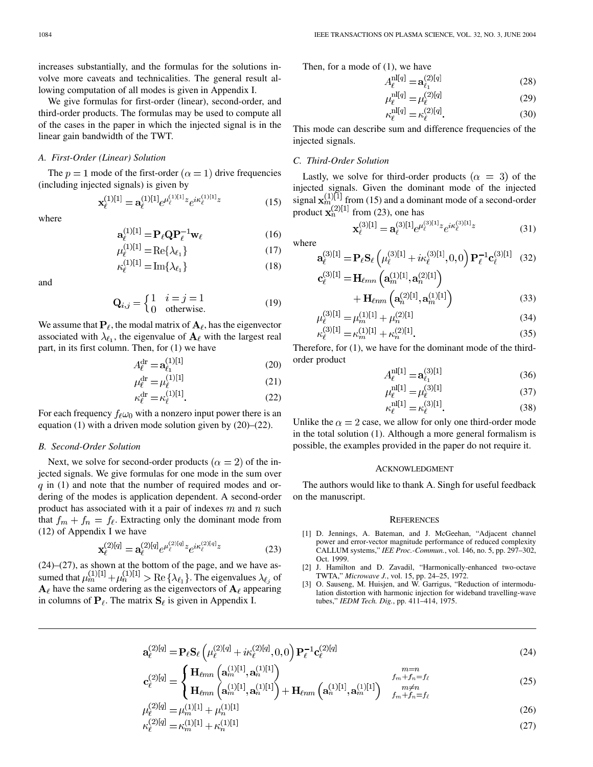<span id="page-11-0"></span>increases substantially, and the formulas for the solutions involve more caveats and technicalities. The general result allowing computation of all modes is given in Appendix I.

We give formulas for first-order (linear), second-order, and third-order products. The formulas may be used to compute all of the cases in the paper in which the injected signal is in the linear gain bandwidth of the TWT.

# *A. First-Order (Linear) Solution*

The  $p = 1$  mode of the first-order  $(\alpha = 1)$  drive frequencies (including injected signals) is given by

$$
\mathbf{x}_{\ell}^{(1)[1]} = \mathbf{a}_{\ell}^{(1)[1]} e^{\mu_{\ell}^{(1)[1]} z} e^{i\kappa_{\ell}^{(1)[1]} z}
$$
 (15)

where

$$
\mathbf{a}_{\ell}^{(1)[1]} = \mathbf{P}_{\ell} \mathbf{Q} \mathbf{P}_{\ell}^{-1} \mathbf{w}_{\ell} \tag{16}
$$

$$
\mu_{\ell}^{(1)[1]} = \text{Re}\{\lambda_{\ell_1}\}\tag{17}
$$

$$
\kappa_{\ell}^{(1)[1]} = \operatorname{Im}\{\lambda_{\ell_1}\}\tag{18}
$$

and

$$
\mathbf{Q}_{i,j} = \begin{cases} 1 & i = j = 1 \\ 0 & \text{otherwise.} \end{cases} \tag{19}
$$

We assume that  $P_{\ell}$ , the modal matrix of  $A_{\ell}$ , has the eigenvector associated with  $\lambda_{\ell_1}$ , the eigenvalue of  $\mathbf{A}_{\ell}$  with the largest real part, in its first column. Then, for (1) we have

$$
A_{\ell}^{\rm dr} = \mathbf{a}_{\ell_1}^{(1)[1]}
$$
 (20)

$$
\mu_{\ell}^{\rm dr} = \mu_{\ell}^{(1)[1]}
$$
 (21)

$$
\kappa_{\ell}^{\mathrm{dr}} = \kappa_{\ell}^{(1)[1]}.
$$
 (22)

For each frequency  $f_{\ell}\omega_0$  with a nonzero input power there is an equation (1) with a driven mode solution given by (20)–(22).

# *B. Second-Order Solution*

Next, we solve for second-order products ( $\alpha = 2$ ) of the injected signals. We give formulas for one mode in the sum over  $q$  in (1) and note that the number of required modes and ordering of the modes is application dependent. A second-order product has associated with it a pair of indexes  $m$  and  $n$  such that  $f_m + f_n = f_\ell$ . Extracting only the dominant mode from (12) of Appendix I we have

$$
\mathbf{x}_{\ell}^{(2)[q]} = \mathbf{a}_{\ell}^{(2)[q]} e^{\mu_{\ell}^{(2)[q]} z} e^{i\kappa_{\ell}^{(2)[q]} z}
$$
 (23)

 $(24)$ – $(27)$ , as shown at the bottom of the page, and we have assumed that  $\mu_m^{(1)[1]} + \mu_n^{(1)[1]} > \text{Re}\{\lambda_{\ell_1}\}\.$  The eigenvalues  $\lambda_{\ell_j}$  of  $A_{\ell}$  have the same ordering as the eigenvectors of  $A_{\ell}$  appearing in columns of  $P_{\ell}$ . The matrix  $S_{\ell}$  is given in Appendix I.

Then, for a mode of  $(1)$ , we have

$$
A_{\ell}^{\text{nl}[q]} = \mathbf{a}_{\ell_1}^{(2)[q]} \tag{28}
$$

$$
\mu_{\ell}^{\text{nl}[q]} = \mu_{\ell}^{(2)[q]} \tag{29}
$$

$$
\kappa_{\ell}^{\text{nl}[q]} = \kappa_{\ell}^{(2)[q]}.
$$
\n(30)

This mode can describe sum and difference frequencies of the injected signals.

# *C. Third-Order Solution*

Lastly, we solve for third-order products ( $\alpha = 3$ ) of the injected signals. Given the dominant mode of the injected signal  $\mathbf{x}_{m}^{(1)[1]}$  from (15) and a dominant mode of a second-order product  $\mathbf{x}_n^{(2)[1]}$  from (23), one has

$$
\mathbf{x}_{\ell}^{(3)[1]} = \mathbf{a}_{\ell}^{(3)[1]} e^{\mu_{\ell}^{(3)[1]} z} e^{i\kappa_{\ell}^{(3)[1]} z}
$$
 (31)

where

$$
\mathbf{a}_{\ell}^{(3)[1]} = \mathbf{P}_{\ell} \mathbf{S}_{\ell} \left( \mu_{\ell}^{(3)[1]} + i \kappa_{\ell}^{(3)[1]}, 0, 0 \right) \mathbf{P}_{\ell}^{-1} \mathbf{c}_{\ell}^{(3)[1]} \tag{32}
$$

$$
\mathbf{c}_{\ell}^{(3)[1]} = \mathbf{H}_{\ell mn} \left( \mathbf{a}_{m}^{(1)[1]}, \mathbf{a}_{n}^{(2)[1]} \right) + \mathbf{H}_{\ell nm} \left( \mathbf{a}_{n}^{(2)[1]}, \mathbf{a}_{m}^{(1)[1]} \right) \tag{33}
$$

$$
\mu_{\ell}^{(3)[1]} = \mu_m^{(1)[1]} + \mu_n^{(2)[1]}
$$
\n(34)

$$
\kappa_{\ell}^{(3)[1]} = \kappa_m^{(1)[1]} + \kappa_n^{(2)[1]}.
$$
\n(35)

Therefore, for (1), we have for the dominant mode of the thirdorder product

$$
\mathbf{a}_{\ell}^{[11]} = \mathbf{a}_{\ell_1}^{(3)[1]}
$$
 (36)

$$
\mu_{\ell}^{\text{nl}[1]} = \mu_{\ell}^{(3)[1]} \tag{37}
$$

$$
\kappa_{\ell}^{\text{nl}[1]} = \kappa_{\ell}^{(3)[1]}.\tag{38}
$$

Unlike the  $\alpha = 2$  case, we allow for only one third-order mode in the total solution (1). Although a more general formalism is possible, the examples provided in the paper do not require it.

#### ACKNOWLEDGMENT

The authors would like to thank A. Singh for useful feedback on the manuscript.

#### **REFERENCES**

- [1] D. Jennings, A. Bateman, and J. McGeehan, "Adjacent channel power and error-vector magnitude performance of reduced complexity CALLUM systems," *IEE Proc.-Commun.*, vol. 146, no. 5, pp. 297–302, Oct. 1999.
- [2] J. Hamilton and D. Zavadil, "Harmonically-enhanced two-octave TWTA," *Microwave J.*, vol. 15, pp. 24–25, 1972.
- [3] O. Sauseng, M. Huisjen, and W. Garrigus, "Reduction of intermodulation distortion with harmonic injection for wideband travelling-wave tubes," *IEDM Tech. Dig.*, pp. 411–414, 1975.

$$
\mathbf{a}_{\ell}^{(2)[q]} = \mathbf{P}_{\ell} \mathbf{S}_{\ell} \left( \mu_{\ell}^{(2)[q]} + i \kappa_{\ell}^{(2)[q]}, 0, 0 \right) \mathbf{P}_{\ell}^{-1} \mathbf{c}_{\ell}^{(2)[q]} \tag{24}
$$

$$
\mathbf{c}_{\ell}^{(2)[q]} = \begin{cases} \mathbf{H}_{\ell mn} \left( \mathbf{a}_{m}^{(1)[1]}, \mathbf{a}_{n}^{(1)[1]} \right) & \underset{f_{m} + f_{n} = f_{\ell}}{m = n} \\ \mathbf{H} & \left( \mathbf{a}^{(1)[1]} \right) \left( \mathbf{I}^{(1)[1]} \right) + \mathbf{H} & \left( \mathbf{a}^{(1)[1]} \right) \left( \mathbf{I}^{(1)[1]} \right) \end{cases} \qquad \underset{m \neq n}{\text{min}} \tag{25}
$$

$$
\mathbf{H}_{\ell mn} \left( \mathbf{a}_m^{(1)[1]}, \mathbf{a}_n^{(1)[1]}\right) + \mathbf{H}_{\ell nm} \left( \mathbf{a}_n^{(1)[1]}, \mathbf{a}_m^{(1)[1]}\right) \quad \substack{m \neq n \\ f_m + f_n = f_\ell}^{m \neq n}
$$
\n
$$
\mu_{\ell}^{(2)[q]} = \mu_{\ell}^{(1)[1]} + \mu_{\ell}^{(1)[1]} \tag{26}
$$

$$
\kappa_{\ell}^{(2)[q]} = \kappa_m^{(1)[1]} + \kappa_n^{(1)[1]}
$$
\n(27)